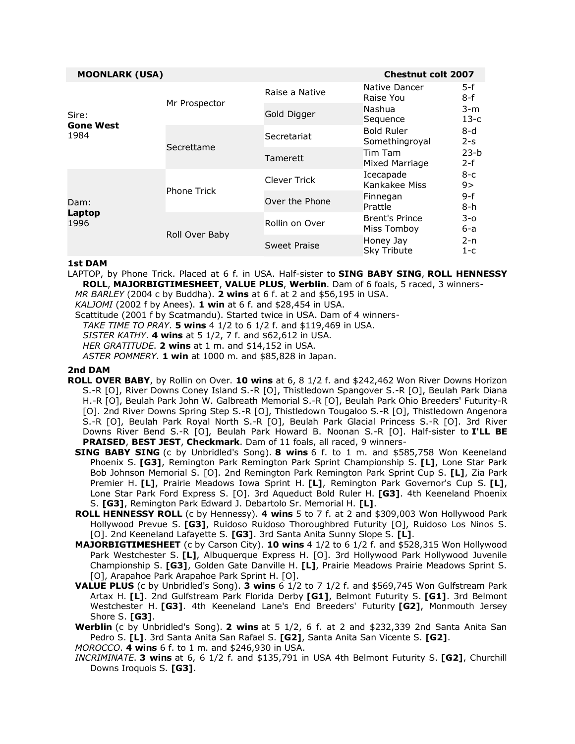| <b>MOONLARK (USA)</b>                                            |                     | <b>Chestnut colt 2007</b>                                        |                    |
|------------------------------------------------------------------|---------------------|------------------------------------------------------------------|--------------------|
| Mr Prospector<br>Sire:<br><b>Gone West</b><br>1984<br>Secrettame | Raise a Native      | Native Dancer<br>Raise You                                       | $5-f$<br>8-f       |
|                                                                  | Gold Digger         | Nashua<br>Sequence                                               | $3-m$<br>$13-c$    |
|                                                                  | Secretariat         | <b>Bold Ruler</b><br>Somethingroyal<br>Tim Tam<br>Mixed Marriage | $8-d$<br>$2-S$     |
|                                                                  | Tamerett            |                                                                  | $23-b$<br>$2-f$    |
|                                                                  | Clever Trick        | Icecapade<br>Kankakee Miss                                       | $8-c$<br>9         |
| Dam:<br>Laptop<br>1996<br>Roll Over Baby                         | Over the Phone      | Finnegan<br>Prattle                                              | $9-f$<br>$8-h$     |
|                                                                  | Rollin on Over      | <b>Brent's Prince</b><br>Miss Tomboy                             | $3-0$<br>6-a       |
|                                                                  | <b>Sweet Praise</b> | Honey Jay<br><b>Sky Tribute</b>                                  | $2 - n$<br>$1 - c$ |
|                                                                  | Phone Trick         |                                                                  |                    |

## **1st DAM**

LAPTOP, by Phone Trick. Placed at 6 f. in USA. Half-sister to **SING BABY SING**, **ROLL HENNESSY ROLL**, **MAJORBIGTIMESHEET**, **VALUE PLUS**, **Werblin**. Dam of 6 foals, 5 raced, 3 winners-

*MR BARLEY* (2004 c by Buddha). **2 wins** at 6 f. at 2 and \$56,195 in USA.

*KALJOMI* (2002 f by Anees). **1 win** at 6 f. and \$28,454 in USA.

Scattitude (2001 f by Scatmandu). Started twice in USA. Dam of 4 winners-

*TAKE TIME TO PRAY*. **5 wins** 4 1/2 to 6 1/2 f. and \$119,469 in USA.

*SISTER KATHY*. **4 wins** at 5 1/2, 7 f. and \$62,612 in USA.

*HER GRATITUDE*. **2 wins** at 1 m. and \$14,152 in USA.

*ASTER POMMERY*. **1 win** at 1000 m. and \$85,828 in Japan.

## **2nd DAM**

- **ROLL OVER BABY**, by Rollin on Over. **10 wins** at 6, 8 1/2 f. and \$242,462 Won River Downs Horizon S.-R [O], River Downs Coney Island S.-R [O], Thistledown Spangover S.-R [O], Beulah Park Diana H.-R [O], Beulah Park John W. Galbreath Memorial S.-R [O], Beulah Park Ohio Breeders' Futurity-R [O]. 2nd River Downs Spring Step S.-R [O], Thistledown Tougaloo S.-R [O], Thistledown Angenora S.-R [O], Beulah Park Royal North S.-R [O], Beulah Park Glacial Princess S.-R [O]. 3rd River Downs River Bend S.-R [O], Beulah Park Howard B. Noonan S.-R [O]. Half-sister to **I'LL BE PRAISED**, **BEST JEST**, **Checkmark**. Dam of 11 foals, all raced, 9 winners-
	- **SING BABY SING** (c by Unbridled's Song). **8 wins** 6 f. to 1 m. and \$585,758 Won Keeneland Phoenix S. **[G3]**, Remington Park Remington Park Sprint Championship S. **[L]**, Lone Star Park Bob Johnson Memorial S. [O]. 2nd Remington Park Remington Park Sprint Cup S. **[L]**, Zia Park Premier H. **[L]**, Prairie Meadows Iowa Sprint H. **[L]**, Remington Park Governor's Cup S. **[L]**, Lone Star Park Ford Express S. [O]. 3rd Aqueduct Bold Ruler H. **[G3]**. 4th Keeneland Phoenix S. **[G3]**, Remington Park Edward J. Debartolo Sr. Memorial H. **[L]**.
	- **ROLL HENNESSY ROLL** (c by Hennessy). 4 wins 5 to 7 f. at 2 and \$309,003 Won Hollywood Park Hollywood Prevue S. **[G3]**, Ruidoso Ruidoso Thoroughbred Futurity [O], Ruidoso Los Ninos S. [O]. 2nd Keeneland Lafayette S. **[G3]**. 3rd Santa Anita Sunny Slope S. **[L]**.
	- **MAJORBIGTIMESHEET** (c by Carson City). **10 wins** 4 1/2 to 6 1/2 f. and \$528,315 Won Hollywood Park Westchester S. **[L]**, Albuquerque Express H. [O]. 3rd Hollywood Park Hollywood Juvenile Championship S. **[G3]**, Golden Gate Danville H. **[L]**, Prairie Meadows Prairie Meadows Sprint S. [O], Arapahoe Park Arapahoe Park Sprint H. [O].
	- **VALUE PLUS** (c by Unbridled's Song). **3 wins** 6 1/2 to 7 1/2 f. and \$569,745 Won Gulfstream Park Artax H. **[L]**. 2nd Gulfstream Park Florida Derby **[G1]**, Belmont Futurity S. **[G1]**. 3rd Belmont Westchester H. **[G3]**. 4th Keeneland Lane's End Breeders' Futurity **[G2]**, Monmouth Jersey Shore S. **[G3]**.

**Werblin** (c by Unbridled's Song). **2 wins** at 5 1/2, 6 f. at 2 and \$232,339 2nd Santa Anita San Pedro S. **[L]**. 3rd Santa Anita San Rafael S. **[G2]**, Santa Anita San Vicente S. **[G2]**.

*MOROCCO*. **4 wins** 6 f. to 1 m. and \$246,930 in USA.

*INCRIMINATE*. **3 wins** at 6, 6 1/2 f. and \$135,791 in USA 4th Belmont Futurity S. **[G2]**, Churchill Downs Iroquois S. **[G3]**.